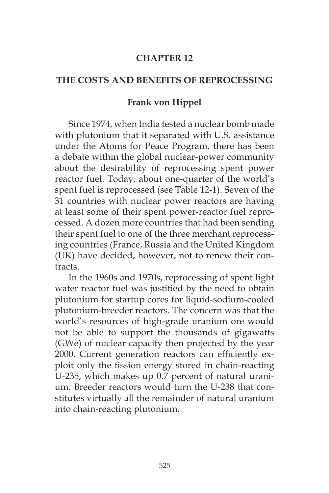### **CHAPTER 12**

## **THE COSTS AND BENEFITS OF REPROCESSING**

### **Frank von Hippel**

Since 1974, when India tested a nuclear bomb made with plutonium that it separated with U.S. assistance under the Atoms for Peace Program, there has been a debate within the global nuclear-power community about the desirability of reprocessing spent power reactor fuel. Today, about one-quarter of the world's spent fuel is reprocessed (see Table 12-1). Seven of the 31 countries with nuclear power reactors are having at least some of their spent power-reactor fuel reprocessed. A dozen more countries that had been sending their spent fuel to one of the three merchant reprocessing countries (France, Russia and the United Kingdom (UK) have decided, however, not to renew their con**tracts** 

In the 1960s and 1970s, reprocessing of spent light water reactor fuel was justified by the need to obtain plutonium for startup cores for liquid-sodium-cooled plutonium-breeder reactors. The concern was that the world's resources of high-grade uranium ore would not be able to support the thousands of gigawatts (GWe) of nuclear capacity then projected by the year 2000. Current generation reactors can efficiently exploit only the fission energy stored in chain-reacting U-235, which makes up 0.7 percent of natural uranium. Breeder reactors would turn the U-238 that constitutes virtually all the remainder of natural uranium into chain-reacting plutonium.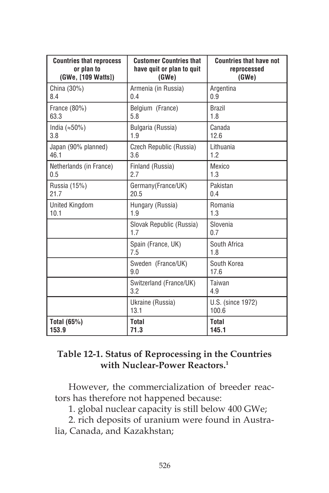| <b>Countries that reprocess</b> | <b>Customer Countries that</b>  | <b>Countries that have not</b> |
|---------------------------------|---------------------------------|--------------------------------|
| or plan to                      | have quit or plan to quit       | reprocessed                    |
| (GWe, [109 Watts])              | (GWe)                           | (GWe)                          |
| China (30%)                     | Armenia (in Russia)             | Argentina                      |
| 8.4                             | 0.4                             | 0.9                            |
| France $(80\%)$                 | Belgium (France)                | <b>Brazil</b>                  |
| 63.3                            | 5.8                             | 1.8                            |
| India ( $\approx$ 50%)          | Bulgaria (Russia)               | Canada                         |
| 3.8                             | 1.9                             | 12.6                           |
| Japan (90% planned)             | Czech Republic (Russia)         | Lithuania                      |
| 46.1                            | 3.6                             | 1.2                            |
| Netherlands (in France)         | Finland (Russia)                | Mexico                         |
| 0.5                             | 2.7                             | 1.3                            |
| Russia (15%)                    | Germany(France/UK)              | Pakistan                       |
| 21.7                            | 20.5                            | 0.4                            |
| <b>United Kingdom</b>           | Hungary (Russia)                | Romania                        |
| 10.1                            | 1.9                             | 1.3                            |
|                                 | Slovak Republic (Russia)<br>1.7 | Slovenia<br>0.7                |
|                                 | Spain (France, UK)<br>7.5       | South Africa<br>1.8            |
|                                 | Sweden (France/UK)<br>9.0       | South Korea<br>17.6            |
|                                 | Switzerland (France/UK)<br>3.2  | Taiwan<br>4.9                  |
|                                 | Ukraine (Russia)<br>13.1        | U.S. (since 1972)<br>100.6     |
| Total (65%)                     | <b>Total</b>                    | <b>Total</b>                   |
| 153.9                           | 71.3                            | 145.1                          |

# **Table 12-1. Status of Reprocessing in the Countries with Nuclear-Power Reactors.1**

However, the commercialization of breeder reactors has therefore not happened because:

1. global nuclear capacity is still below 400 GWe;

2. rich deposits of uranium were found in Austra-

lia, Canada, and Kazakhstan;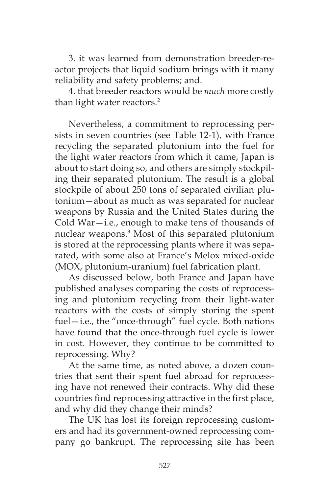3. it was learned from demonstration breeder-reactor projects that liquid sodium brings with it many reliability and safety problems; and.

4. that breeder reactors would be *much* more costly than light water reactors.<sup>2</sup>

Nevertheless, a commitment to reprocessing persists in seven countries (see Table 12-1), with France recycling the separated plutonium into the fuel for the light water reactors from which it came, Japan is about to start doing so, and others are simply stockpiling their separated plutonium. The result is a global stockpile of about 250 tons of separated civilian plutonium—about as much as was separated for nuclear weapons by Russia and the United States during the Cold War—i.e., enough to make tens of thousands of nuclear weapons.<sup>3</sup> Most of this separated plutonium is stored at the reprocessing plants where it was separated, with some also at France's Melox mixed-oxide (MOX, plutonium-uranium) fuel fabrication plant.

As discussed below, both France and Japan have published analyses comparing the costs of reprocessing and plutonium recycling from their light-water reactors with the costs of simply storing the spent fuel—i.e., the "once-through" fuel cycle. Both nations have found that the once-through fuel cycle is lower in cost. However, they continue to be committed to reprocessing. Why?

At the same time, as noted above, a dozen countries that sent their spent fuel abroad for reprocessing have not renewed their contracts. Why did these countries find reprocessing attractive in the first place, and why did they change their minds?

The UK has lost its foreign reprocessing customers and had its government-owned reprocessing company go bankrupt. The reprocessing site has been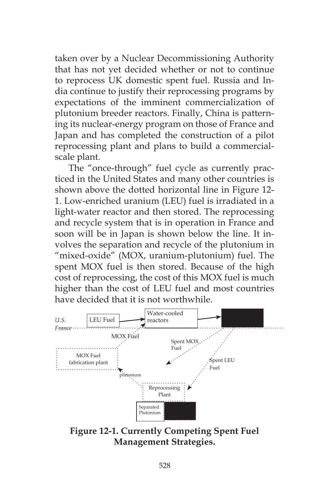taken over by a Nuclear Decommissioning Authority that has not yet decided whether or not to continue to reprocess UK domestic spent fuel. Russia and India continue to justify their reprocessing programs by expectations of the imminent commercialization of plutonium breeder reactors. Finally, China is patterning its nuclear-energy program on those of France and Japan and has completed the construction of a pilot reprocessing plant and plans to build a commercialscale plant.

The "once-through" fuel cycle as currently practiced in the United States and many other countries is shown above the dotted horizontal line in Figure 12- 1. Low-enriched uranium (LEU) fuel is irradiated in a light-water reactor and then stored. The reprocessing and recycle system that is in operation in France and soon will be in Japan is shown below the line. It involves the separation and recycle of the plutonium in "mixed-oxide" (MOX, uranium-plutonium) fuel. The spent MOX fuel is then stored. Because of the high cost of reprocessing, the cost of this MOX fuel is much higher than the cost of LEU fuel and most countries have decided that it is not worthwhile.



**Figure 12-1. Currently Competing Spent Fuel Management Strategies.**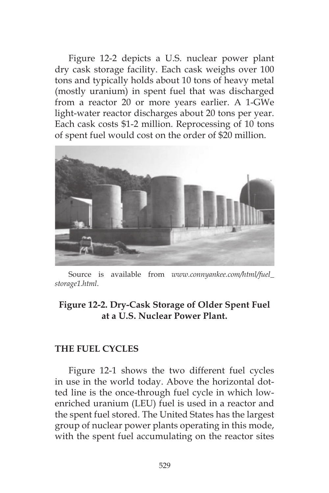Figure 12-2 depicts a U.S. nuclear power plant dry cask storage facility. Each cask weighs over 100 tons and typically holds about 10 tons of heavy metal (mostly uranium) in spent fuel that was discharged from a reactor 20 or more years earlier. A 1-GWe light-water reactor discharges about 20 tons per year. Each cask costs \$1-2 million. Reprocessing of 10 tons of spent fuel would cost on the order of \$20 million.



Source is available from *www.connyankee.com/html/fuel\_ storage1.html*.

# **Figure 12-2. Dry-Cask Storage of Older Spent Fuel at a U.S. Nuclear Power Plant.**

#### **THE FUEL CYCLES**

Figure 12-1 shows the two different fuel cycles in use in the world today. Above the horizontal dotted line is the once-through fuel cycle in which lowenriched uranium (LEU) fuel is used in a reactor and the spent fuel stored. The United States has the largest group of nuclear power plants operating in this mode, with the spent fuel accumulating on the reactor sites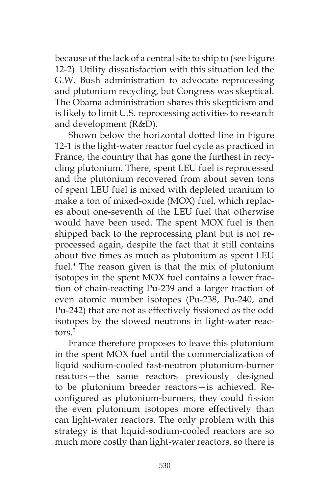because of the lack of a central site to ship to (see Figure 12-2). Utility dissatisfaction with this situation led the G.W. Bush administration to advocate reprocessing and plutonium recycling, but Congress was skeptical. The Obama administration shares this skepticism and is likely to limit U.S. reprocessing activities to research and development (R&D).

Shown below the horizontal dotted line in Figure 12-1 is the light-water reactor fuel cycle as practiced in France, the country that has gone the furthest in recycling plutonium. There, spent LEU fuel is reprocessed and the plutonium recovered from about seven tons of spent LEU fuel is mixed with depleted uranium to make a ton of mixed-oxide (MOX) fuel, which replaces about one-seventh of the LEU fuel that otherwise would have been used. The spent MOX fuel is then shipped back to the reprocessing plant but is not reprocessed again, despite the fact that it still contains about five times as much as plutonium as spent LEU fuel.4 The reason given is that the mix of plutonium isotopes in the spent MOX fuel contains a lower fraction of chain-reacting Pu-239 and a larger fraction of even atomic number isotopes (Pu-238, Pu-240, and Pu-242) that are not as effectively fissioned as the odd isotopes by the slowed neutrons in light-water reactors.<sup>5</sup>

France therefore proposes to leave this plutonium in the spent MOX fuel until the commercialization of liquid sodium-cooled fast-neutron plutonium-burner reactors—the same reactors previously designed to be plutonium breeder reactors—is achieved. Reconfigured as plutonium-burners, they could fission the even plutonium isotopes more effectively than can light-water reactors. The only problem with this strategy is that liquid-sodium-cooled reactors are so much more costly than light-water reactors, so there is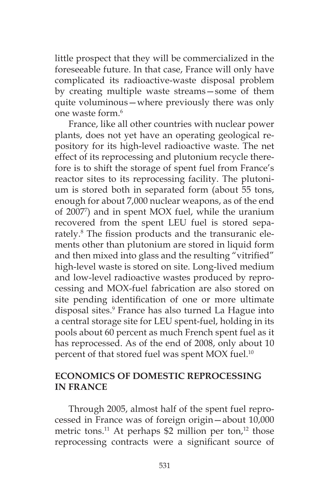little prospect that they will be commercialized in the foreseeable future. In that case, France will only have complicated its radioactive-waste disposal problem by creating multiple waste streams—some of them quite voluminous—where previously there was only one waste form.<sup>6</sup>

France, like all other countries with nuclear power plants, does not yet have an operating geological repository for its high-level radioactive waste. The net effect of its reprocessing and plutonium recycle therefore is to shift the storage of spent fuel from France's reactor sites to its reprocessing facility. The plutonium is stored both in separated form (about 55 tons, enough for about 7,000 nuclear weapons, as of the end of 20077 ) and in spent MOX fuel, while the uranium recovered from the spent LEU fuel is stored separately.8 The fission products and the transuranic elements other than plutonium are stored in liquid form and then mixed into glass and the resulting "vitrified" high-level waste is stored on site. Long-lived medium and low-level radioactive wastes produced by reprocessing and MOX-fuel fabrication are also stored on site pending identification of one or more ultimate disposal sites.9 France has also turned La Hague into a central storage site for LEU spent-fuel, holding in its pools about 60 percent as much French spent fuel as it has reprocessed. As of the end of 2008, only about 10 percent of that stored fuel was spent MOX fuel.10

# **ECONOMICS OF DOMESTIC REPROCESSING IN FRANCE**

Through 2005, almost half of the spent fuel reprocessed in France was of foreign origin—about 10,000 metric tons.<sup>11</sup> At perhaps \$2 million per ton,<sup>12</sup> those reprocessing contracts were a significant source of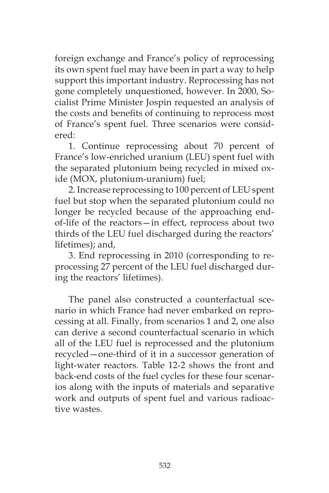foreign exchange and France's policy of reprocessing its own spent fuel may have been in part a way to help support this important industry. Reprocessing has not gone completely unquestioned, however. In 2000, Socialist Prime Minister Jospin requested an analysis of the costs and benefits of continuing to reprocess most of France's spent fuel. Three scenarios were considered:

1. Continue reprocessing about 70 percent of France's low-enriched uranium (LEU) spent fuel with the separated plutonium being recycled in mixed oxide (MOX, plutonium-uranium) fuel;

2. Increase reprocessing to 100 percent of LEU spent fuel but stop when the separated plutonium could no longer be recycled because of the approaching endof-life of the reactors—in effect, reprocess about two thirds of the LEU fuel discharged during the reactors' lifetimes); and,

3. End reprocessing in 2010 (corresponding to reprocessing 27 percent of the LEU fuel discharged during the reactors' lifetimes).

The panel also constructed a counterfactual scenario in which France had never embarked on reprocessing at all. Finally, from scenarios 1 and 2, one also can derive a second counterfactual scenario in which all of the LEU fuel is reprocessed and the plutonium recycled—one-third of it in a successor generation of light-water reactors. Table 12-2 shows the front and back-end costs of the fuel cycles for these four scenarios along with the inputs of materials and separative work and outputs of spent fuel and various radioactive wastes.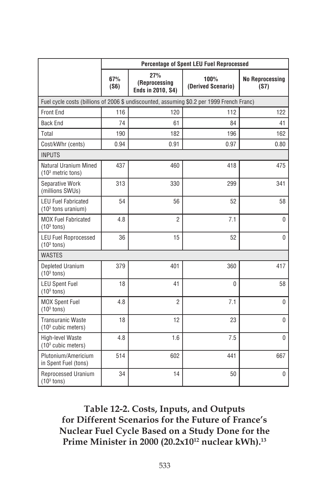|                                                                                           | <b>Percentage of Spent LEU Fuel Reprocessed</b> |                                           |                            |                                |  |  |
|-------------------------------------------------------------------------------------------|-------------------------------------------------|-------------------------------------------|----------------------------|--------------------------------|--|--|
|                                                                                           | 67%<br>(S6)                                     | 27%<br>(Reprocessing<br>Ends in 2010, S4) | 100%<br>(Derived Scenario) | <b>No Reprocessing</b><br>(S7) |  |  |
| Fuel cycle costs (billions of 2006 \$ undiscounted, assuming \$0.2 per 1999 French Franc) |                                                 |                                           |                            |                                |  |  |
| <b>Front End</b>                                                                          | 116                                             | 120                                       | 112                        | 122                            |  |  |
| <b>Back End</b>                                                                           | 74                                              | 61                                        | 84                         | 41                             |  |  |
| Total                                                                                     | 190                                             | 182                                       | 196                        | 162                            |  |  |
| Cost/kWhr (cents)                                                                         | 0.94                                            | 0.91                                      | 0.97                       | 0.80                           |  |  |
| <b>INPUTS</b>                                                                             |                                                 |                                           |                            |                                |  |  |
| Natural Uranium Mined<br>$(103$ metric tons)                                              | 437                                             | 460                                       | 418                        | 475                            |  |  |
| Separative Work<br>(millions SWUs)                                                        | 313                                             | 330                                       | 299                        | 341                            |  |  |
| <b>LEU Fuel Fabricated</b><br>(10 <sup>3</sup> tons uranium)                              | 54                                              | 56                                        | 52                         | 58                             |  |  |
| <b>MOX Fuel Fabricated</b><br>$(103$ tons)                                                | 4.8                                             | $\overline{2}$                            | 7.1                        | 0                              |  |  |
| <b>LEU Fuel Roprocessed</b><br>$(103$ tons)                                               | 36                                              | 15                                        | 52                         | 0                              |  |  |
| <b>WASTES</b>                                                                             |                                                 |                                           |                            |                                |  |  |
| Depleted Uranium<br>$(103$ tons)                                                          | 379                                             | 401                                       | 360                        | 417                            |  |  |
| <b>LEU Spent Fuel</b><br>$(103$ tons)                                                     | 18                                              | 41                                        | $\mathbf 0$                | 58                             |  |  |
| <b>MOX Spent Fuel</b><br>$(103$ tons)                                                     | 4.8                                             | $\overline{2}$                            | 7.1                        | $\mathbf{0}$                   |  |  |
| <b>Transuranic Waste</b><br>$(103$ cubic meters)                                          | 18                                              | 12                                        | 23                         | 0                              |  |  |
| High-level Waste<br>(10 <sup>3</sup> cubic meters)                                        | 4.8                                             | 1.6                                       | 7.5                        | $\mathbf{0}$                   |  |  |
| Plutonium/Americium<br>in Spent Fuel (tons)                                               | 514                                             | 602                                       | 441                        | 667                            |  |  |
| Reprocessed Uranium<br>$(103$ tons)                                                       | 34                                              | 14                                        | 50                         | 0                              |  |  |

**Table 12-2. Costs, Inputs, and Outputs for Different Scenarios for the Future of France's Nuclear Fuel Cycle Based on a Study Done for the**  Prime Minister in 2000 (20.2x10<sup>12</sup> nuclear kWh).<sup>13</sup>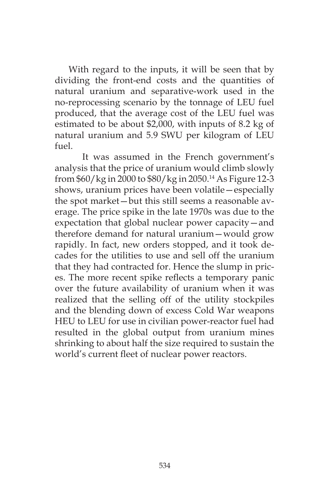With regard to the inputs, it will be seen that by dividing the front-end costs and the quantities of natural uranium and separative-work used in the no-reprocessing scenario by the tonnage of LEU fuel produced, that the average cost of the LEU fuel was estimated to be about \$2,000, with inputs of 8.2 kg of natural uranium and 5.9 SWU per kilogram of LEU fuel.

It was assumed in the French government's analysis that the price of uranium would climb slowly from \$60/kg in 2000 to \$80/kg in 2050.14 As Figure 12-3 shows, uranium prices have been volatile—especially the spot market—but this still seems a reasonable average. The price spike in the late 1970s was due to the expectation that global nuclear power capacity—and therefore demand for natural uranium—would grow rapidly. In fact, new orders stopped, and it took decades for the utilities to use and sell off the uranium that they had contracted for. Hence the slump in prices. The more recent spike reflects a temporary panic over the future availability of uranium when it was realized that the selling off of the utility stockpiles and the blending down of excess Cold War weapons HEU to LEU for use in civilian power-reactor fuel had resulted in the global output from uranium mines shrinking to about half the size required to sustain the world's current fleet of nuclear power reactors.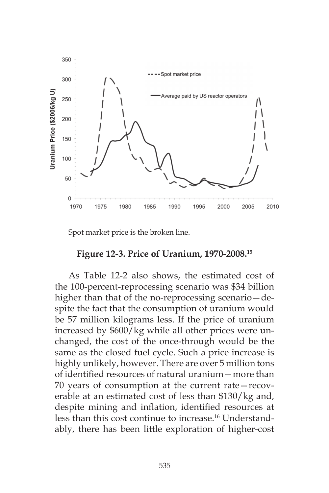

Spot market price is the broken line.

### **Figure 12-3. Price of Uranium, 1970-2008.15**

As Table 12-2 also shows, the estimated cost of the 100-percent-reprocessing scenario was \$34 billion higher than that of the no-reprocessing scenario—despite the fact that the consumption of uranium would be 57 million kilograms less. If the price of uranium increased by \$600/kg while all other prices were unchanged, the cost of the once-through would be the same as the closed fuel cycle. Such a price increase is highly unlikely, however. There are over 5 million tons of identified resources of natural uranium—more than 70 years of consumption at the current rate—recoverable at an estimated cost of less than \$130/kg and, despite mining and inflation, identified resources at less than this cost continue to increase.<sup>16</sup> Understandably, there has been little exploration of higher-cost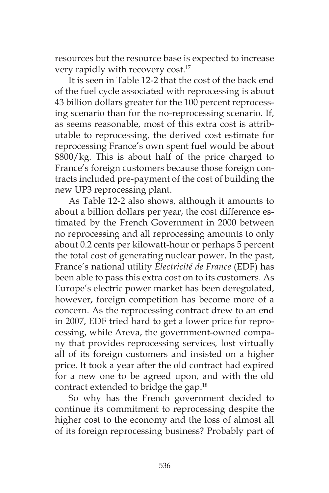resources but the resource base is expected to increase very rapidly with recovery cost.<sup>17</sup>

It is seen in Table 12-2 that the cost of the back end of the fuel cycle associated with reprocessing is about 43 billion dollars greater for the 100 percent reprocessing scenario than for the no-reprocessing scenario. If, as seems reasonable, most of this extra cost is attributable to reprocessing, the derived cost estimate for reprocessing France's own spent fuel would be about \$800/kg. This is about half of the price charged to France's foreign customers because those foreign contracts included pre-payment of the cost of building the new UP3 reprocessing plant.

As Table 12-2 also shows, although it amounts to about a billion dollars per year, the cost difference estimated by the French Government in 2000 between no reprocessing and all reprocessing amounts to only about 0.2 cents per kilowatt-hour or perhaps 5 percent the total cost of generating nuclear power. In the past, France's national utility *Électricité de France* (EDF) has been able to pass this extra cost on to its customers. As Europe's electric power market has been deregulated, however, foreign competition has become more of a concern. As the reprocessing contract drew to an end in 2007, EDF tried hard to get a lower price for reprocessing, while Areva, the government-owned company that provides reprocessing services*,* lost virtually all of its foreign customers and insisted on a higher price. It took a year after the old contract had expired for a new one to be agreed upon, and with the old contract extended to bridge the gap.18

So why has the French government decided to continue its commitment to reprocessing despite the higher cost to the economy and the loss of almost all of its foreign reprocessing business? Probably part of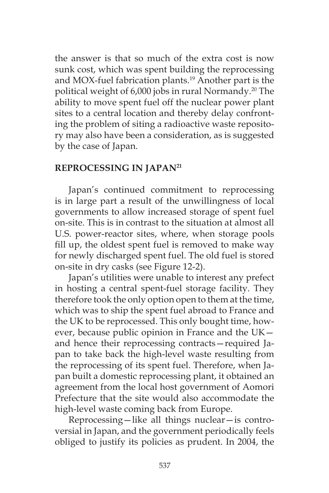the answer is that so much of the extra cost is now sunk cost, which was spent building the reprocessing and MOX-fuel fabrication plants.<sup>19</sup> Another part is the political weight of 6,000 jobs in rural Normandy.<sup>20</sup> The ability to move spent fuel off the nuclear power plant sites to a central location and thereby delay confronting the problem of siting a radioactive waste repository may also have been a consideration, as is suggested by the case of Japan.

## **REPROCESSING IN JAPAN21**

Japan's continued commitment to reprocessing is in large part a result of the unwillingness of local governments to allow increased storage of spent fuel on-site. This is in contrast to the situation at almost all U.S. power-reactor sites, where, when storage pools fill up, the oldest spent fuel is removed to make way for newly discharged spent fuel. The old fuel is stored on-site in dry casks (see Figure 12-2).

Japan's utilities were unable to interest any prefect in hosting a central spent-fuel storage facility. They therefore took the only option open to them at the time, which was to ship the spent fuel abroad to France and the UK to be reprocessed. This only bought time, however, because public opinion in France and the UK and hence their reprocessing contracts—required Japan to take back the high-level waste resulting from the reprocessing of its spent fuel. Therefore, when Japan built a domestic reprocessing plant, it obtained an agreement from the local host government of Aomori Prefecture that the site would also accommodate the high-level waste coming back from Europe.

Reprocessing—like all things nuclear—is controversial in Japan, and the government periodically feels obliged to justify its policies as prudent. In 2004, the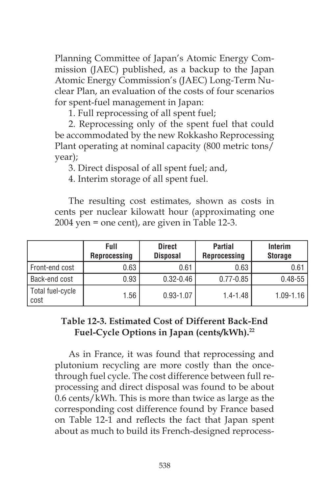Planning Committee of Japan's Atomic Energy Commission (JAEC) published, as a backup to the Japan Atomic Energy Commission's (JAEC) Long-Term Nuclear Plan, an evaluation of the costs of four scenarios for spent-fuel management in Japan:

1. Full reprocessing of all spent fuel;

2. Reprocessing only of the spent fuel that could be accommodated by the new Rokkasho Reprocessing Plant operating at nominal capacity (800 metric tons/ year);

3. Direct disposal of all spent fuel; and,

4. Interim storage of all spent fuel.

The resulting cost estimates, shown as costs in cents per nuclear kilowatt hour (approximating one 2004 yen = one cent), are given in Table 12-3.

|                          | Full<br><b>Reprocessing</b> | <b>Direct</b><br><b>Disposal</b> | <b>Partial</b><br><b>Reprocessing</b> | Interim<br><b>Storage</b> |
|--------------------------|-----------------------------|----------------------------------|---------------------------------------|---------------------------|
| Front-end cost           | 0.63                        | 0.61                             | 0.63                                  | 0.61                      |
| Back-end cost            | 0.93                        | $0.32 - 0.46$                    | $0.77 - 0.85$                         | $0.48 - 55$               |
| Total fuel-cycle<br>cost | 1.56                        | $0.93 - 1.07$                    | $1.4 - 1.48$                          | $1.09 - 1.16$             |

# **Table 12-3. Estimated Cost of Different Back-End Fuel-Cycle Options in Japan (cents/kWh).22**

As in France, it was found that reprocessing and plutonium recycling are more costly than the oncethrough fuel cycle. The cost difference between full reprocessing and direct disposal was found to be about 0.6 cents/kWh. This is more than twice as large as the corresponding cost difference found by France based on Table 12-1 and reflects the fact that Japan spent about as much to build its French-designed reprocess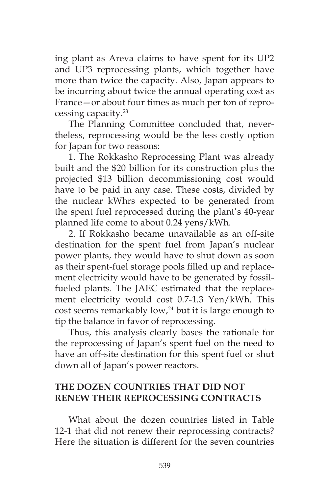ing plant as Areva claims to have spent for its UP2 and UP3 reprocessing plants, which together have more than twice the capacity. Also, Japan appears to be incurring about twice the annual operating cost as France—or about four times as much per ton of reprocessing capacity.23

The Planning Committee concluded that, nevertheless, reprocessing would be the less costly option for Japan for two reasons:

1. The Rokkasho Reprocessing Plant was already built and the \$20 billion for its construction plus the projected \$13 billion decommissioning cost would have to be paid in any case. These costs, divided by the nuclear kWhrs expected to be generated from the spent fuel reprocessed during the plant's 40-year planned life come to about 0.24 yens/kWh.

2. If Rokkasho became unavailable as an off-site destination for the spent fuel from Japan's nuclear power plants, they would have to shut down as soon as their spent-fuel storage pools filled up and replacement electricity would have to be generated by fossilfueled plants. The JAEC estimated that the replacement electricity would cost 0.7-1.3 Yen/kWh. This cost seems remarkably low,<sup>24</sup> but it is large enough to tip the balance in favor of reprocessing.

Thus, this analysis clearly bases the rationale for the reprocessing of Japan's spent fuel on the need to have an off-site destination for this spent fuel or shut down all of Japan's power reactors.

## **THE DOZEN COUNTRIES THAT DID NOT RENEW THEIR REPROCESSING CONTRACTS**

What about the dozen countries listed in Table 12-1 that did not renew their reprocessing contracts? Here the situation is different for the seven countries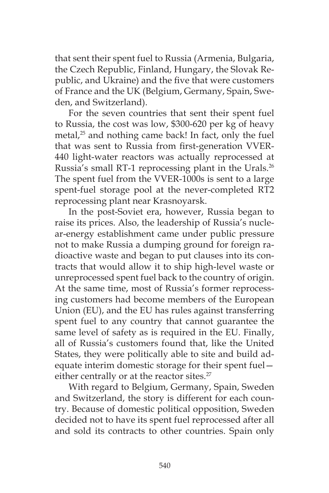that sent their spent fuel to Russia (Armenia, Bulgaria, the Czech Republic, Finland, Hungary, the Slovak Republic, and Ukraine) and the five that were customers of France and the UK (Belgium, Germany, Spain, Sweden, and Switzerland).

For the seven countries that sent their spent fuel to Russia, the cost was low, \$300-620 per kg of heavy metal, $25$  and nothing came back! In fact, only the fuel that was sent to Russia from first-generation VVER-440 light-water reactors was actually reprocessed at Russia's small RT-1 reprocessing plant in the Urals.<sup>26</sup> The spent fuel from the VVER-1000s is sent to a large spent-fuel storage pool at the never-completed RT2 reprocessing plant near Krasnoyarsk.

In the post-Soviet era, however, Russia began to raise its prices. Also, the leadership of Russia's nuclear-energy establishment came under public pressure not to make Russia a dumping ground for foreign radioactive waste and began to put clauses into its contracts that would allow it to ship high-level waste or unreprocessed spent fuel back to the country of origin. At the same time, most of Russia's former reprocessing customers had become members of the European Union (EU), and the EU has rules against transferring spent fuel to any country that cannot guarantee the same level of safety as is required in the EU. Finally, all of Russia's customers found that, like the United States, they were politically able to site and build adequate interim domestic storage for their spent fuel either centrally or at the reactor sites.<sup>27</sup>

With regard to Belgium, Germany, Spain, Sweden and Switzerland, the story is different for each country. Because of domestic political opposition, Sweden decided not to have its spent fuel reprocessed after all and sold its contracts to other countries. Spain only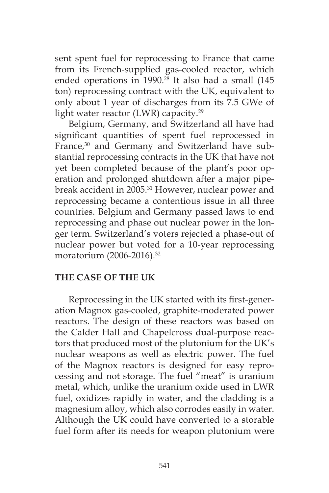sent spent fuel for reprocessing to France that came from its French-supplied gas-cooled reactor, which ended operations in 1990.<sup>28</sup> It also had a small (145 ton) reprocessing contract with the UK, equivalent to only about 1 year of discharges from its 7.5 GWe of light water reactor (LWR) capacity.<sup>29</sup>

Belgium, Germany, and Switzerland all have had significant quantities of spent fuel reprocessed in France,<sup>30</sup> and Germany and Switzerland have substantial reprocessing contracts in the UK that have not yet been completed because of the plant's poor operation and prolonged shutdown after a major pipebreak accident in 2005.<sup>31</sup> However, nuclear power and reprocessing became a contentious issue in all three countries. Belgium and Germany passed laws to end reprocessing and phase out nuclear power in the longer term. Switzerland's voters rejected a phase-out of nuclear power but voted for a 10-year reprocessing moratorium (2006-2016).<sup>32</sup>

# **THE CASE OF THE UK**

Reprocessing in the UK started with its first-generation Magnox gas-cooled, graphite-moderated power reactors. The design of these reactors was based on the Calder Hall and Chapelcross dual-purpose reactors that produced most of the plutonium for the UK's nuclear weapons as well as electric power. The fuel of the Magnox reactors is designed for easy reprocessing and not storage. The fuel "meat" is uranium metal, which, unlike the uranium oxide used in LWR fuel, oxidizes rapidly in water, and the cladding is a magnesium alloy, which also corrodes easily in water. Although the UK could have converted to a storable fuel form after its needs for weapon plutonium were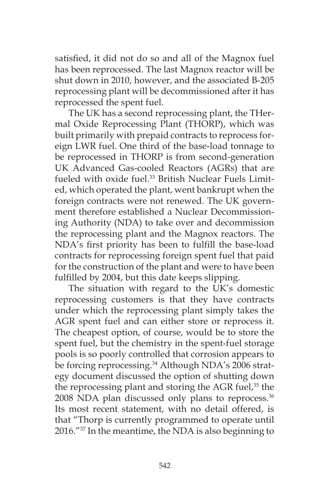satisfied, it did not do so and all of the Magnox fuel has been reprocessed. The last Magnox reactor will be shut down in 2010, however, and the associated B-205 reprocessing plant will be decommissioned after it has reprocessed the spent fuel.

The UK has a second reprocessing plant, the THermal Oxide Reprocessing Plant (THORP), which was built primarily with prepaid contracts to reprocess foreign LWR fuel. One third of the base-load tonnage to be reprocessed in THORP is from second-generation UK Advanced Gas-cooled Reactors (AGRs) that are fueled with oxide fuel.<sup>33</sup> British Nuclear Fuels Limited, which operated the plant, went bankrupt when the foreign contracts were not renewed. The UK government therefore established a Nuclear Decommissioning Authority (NDA) to take over and decommission the reprocessing plant and the Magnox reactors. The NDA's first priority has been to fulfill the base-load contracts for reprocessing foreign spent fuel that paid for the construction of the plant and were to have been fulfilled by 2004, but this date keeps slipping.

The situation with regard to the UK's domestic reprocessing customers is that they have contracts under which the reprocessing plant simply takes the AGR spent fuel and can either store or reprocess it. The cheapest option, of course, would be to store the spent fuel, but the chemistry in the spent-fuel storage pools is so poorly controlled that corrosion appears to be forcing reprocessing.<sup>34</sup> Although NDA's 2006 strategy document discussed the option of shutting down the reprocessing plant and storing the AGR fuel,<sup>35</sup> the 2008 NDA plan discussed only plans to reprocess.<sup>36</sup> Its most recent statement, with no detail offered, is that "Thorp is currently programmed to operate until 2016."<sup>37</sup> In the meantime, the NDA is also beginning to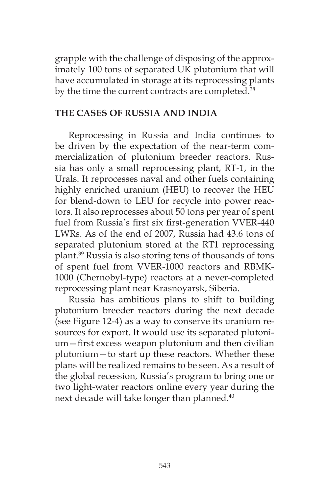grapple with the challenge of disposing of the approximately 100 tons of separated UK plutonium that will have accumulated in storage at its reprocessing plants by the time the current contracts are completed.<sup>38</sup>

### **THE CASES OF RUSSIA AND INDIA**

Reprocessing in Russia and India continues to be driven by the expectation of the near-term commercialization of plutonium breeder reactors. Russia has only a small reprocessing plant, RT-1, in the Urals. It reprocesses naval and other fuels containing highly enriched uranium (HEU) to recover the HEU for blend-down to LEU for recycle into power reactors. It also reprocesses about 50 tons per year of spent fuel from Russia's first six first-generation VVER-440 LWRs. As of the end of 2007, Russia had 43.6 tons of separated plutonium stored at the RT1 reprocessing plant.39 Russia is also storing tens of thousands of tons of spent fuel from VVER-1000 reactors and RBMK-1000 (Chernobyl-type) reactors at a never-completed reprocessing plant near Krasnoyarsk, Siberia.

Russia has ambitious plans to shift to building plutonium breeder reactors during the next decade (see Figure 12-4) as a way to conserve its uranium resources for export. It would use its separated plutonium—first excess weapon plutonium and then civilian plutonium—to start up these reactors. Whether these plans will be realized remains to be seen. As a result of the global recession, Russia's program to bring one or two light-water reactors online every year during the next decade will take longer than planned.<sup>40</sup>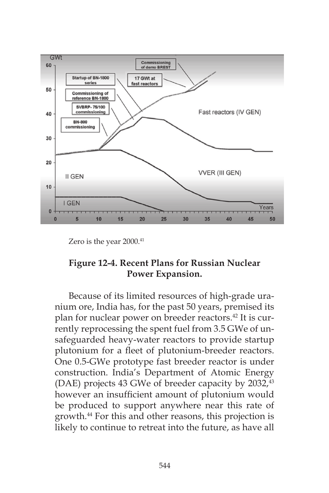

Zero is the year 2000.<sup>41</sup>

## **Figure 12-4. Recent Plans for Russian Nuclear Power Expansion.**

Because of its limited resources of high-grade uranium ore, India has, for the past 50 years, premised its plan for nuclear power on breeder reactors.<sup>42</sup> It is currently reprocessing the spent fuel from 3.5 GWe of unsafeguarded heavy-water reactors to provide startup plutonium for a fleet of plutonium-breeder reactors. One 0.5-GWe prototype fast breeder reactor is under construction. India's Department of Atomic Energy (DAE) projects 43 GWe of breeder capacity by 2032,<sup>43</sup> however an insufficient amount of plutonium would be produced to support anywhere near this rate of growth.44 For this and other reasons, this projection is likely to continue to retreat into the future, as have all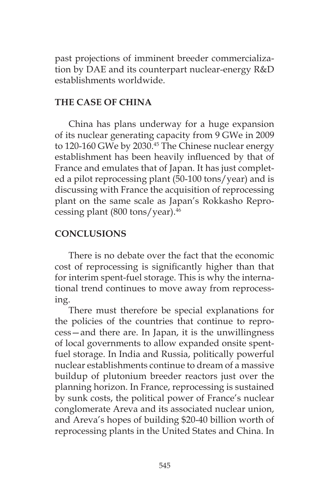past projections of imminent breeder commercialization by DAE and its counterpart nuclear-energy R&D establishments worldwide.

# **THE CASE OF CHINA**

China has plans underway for a huge expansion of its nuclear generating capacity from 9 GWe in 2009 to 120-160 GWe by 2030.<sup>45</sup> The Chinese nuclear energy establishment has been heavily influenced by that of France and emulates that of Japan. It has just completed a pilot reprocessing plant (50-100 tons/year) and is discussing with France the acquisition of reprocessing plant on the same scale as Japan's Rokkasho Reprocessing plant (800 tons/year).46

# **CONCLUSIONS**

There is no debate over the fact that the economic cost of reprocessing is significantly higher than that for interim spent-fuel storage. This is why the international trend continues to move away from reprocessing.

There must therefore be special explanations for the policies of the countries that continue to reprocess—and there are. In Japan, it is the unwillingness of local governments to allow expanded onsite spentfuel storage. In India and Russia, politically powerful nuclear establishments continue to dream of a massive buildup of plutonium breeder reactors just over the planning horizon. In France, reprocessing is sustained by sunk costs, the political power of France's nuclear conglomerate Areva and its associated nuclear union, and Areva's hopes of building \$20-40 billion worth of reprocessing plants in the United States and China. In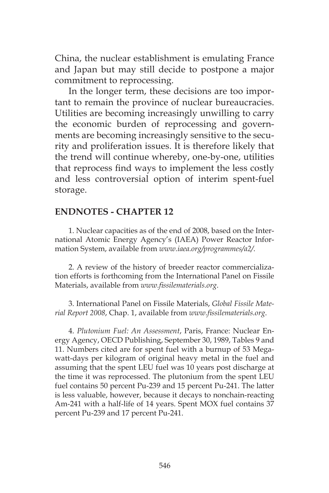China, the nuclear establishment is emulating France and Japan but may still decide to postpone a major commitment to reprocessing.

In the longer term, these decisions are too important to remain the province of nuclear bureaucracies. Utilities are becoming increasingly unwilling to carry the economic burden of reprocessing and governments are becoming increasingly sensitive to the security and proliferation issues. It is therefore likely that the trend will continue whereby, one-by-one, utilities that reprocess find ways to implement the less costly and less controversial option of interim spent-fuel storage.

### **ENDNOTES - CHAPTER 12**

1. Nuclear capacities as of the end of 2008, based on the International Atomic Energy Agency's (IAEA) Power Reactor Information System, available from *www.iaea.org/programmes/a2/*.

2. A review of the history of breeder reactor commercialization efforts is forthcoming from the International Panel on Fissile Materials, available from *www.fissilematerials.org*.

3. International Panel on Fissile Materials, *Global Fissile Material Report 2008*, Chap. 1, available from *www.fissilematerials.org*.

4. *Plutonium Fuel: An Assessment*, Paris, France: Nuclear Energy Agency, OECD Publishing, September 30, 1989, Tables 9 and 11. Numbers cited are for spent fuel with a burnup of 53 Megawatt-days per kilogram of original heavy metal in the fuel and assuming that the spent LEU fuel was 10 years post discharge at the time it was reprocessed. The plutonium from the spent LEU fuel contains 50 percent Pu-239 and 15 percent Pu-241. The latter is less valuable, however, because it decays to nonchain-reacting Am-241 with a half-life of 14 years. Spent MOX fuel contains 37 percent Pu-239 and 17 percent Pu-241.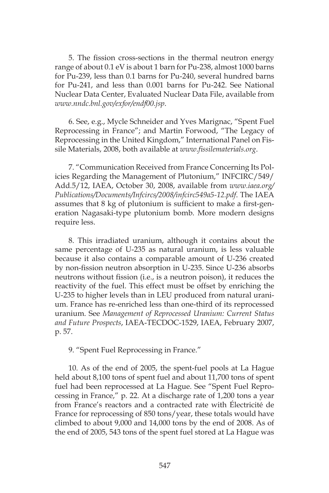5. The fission cross-sections in the thermal neutron energy range of about 0.1 eV is about 1 barn for Pu-238, almost 1000 barns for Pu-239, less than 0.1 barns for Pu-240, several hundred barns for Pu-241, and less than 0.001 barns for Pu-242. See National Nuclear Data Center, Evaluated Nuclear Data File, available from *www.nndc.bnl.gov/exfor/endf00.jsp*.

6. See, e.g., Mycle Schneider and Yves Marignac, "Spent Fuel Reprocessing in France"; and Martin Forwood, "The Legacy of Reprocessing in the United Kingdom," International Panel on Fissile Materials, 2008, both available at *www.fissilematerials.org*.

7. "Communication Received from France Concerning Its Policies Regarding the Management of Plutonium," INFCIRC/549/ Add.5/12, IAEA, October 30, 2008, available from *www.iaea.org/ Publications/Documents/Infcircs/2008/infcirc549a5-12.pdf*. The IAEA assumes that 8 kg of plutonium is sufficient to make a first-generation Nagasaki-type plutonium bomb. More modern designs require less.

8. This irradiated uranium, although it contains about the same percentage of U-235 as natural uranium, is less valuable because it also contains a comparable amount of U-236 created by non-fission neutron absorption in U-235. Since U-236 absorbs neutrons without fission (i.e., is a neutron poison), it reduces the reactivity of the fuel. This effect must be offset by enriching the U-235 to higher levels than in LEU produced from natural uranium. France has re-enriched less than one-third of its reprocessed uranium. See *Management of Reprocessed Uranium: Current Status and Future Prospects*, IAEA-TECDOC-1529, IAEA, February 2007, p. 57.

9. "Spent Fuel Reprocessing in France."

10. As of the end of 2005, the spent-fuel pools at La Hague held about 8,100 tons of spent fuel and about 11,700 tons of spent fuel had been reprocessed at La Hague. See "Spent Fuel Reprocessing in France," p. 22. At a discharge rate of 1,200 tons a year from France's reactors and a contracted rate with Électricité de France for reprocessing of 850 tons/year, these totals would have climbed to about 9,000 and 14,000 tons by the end of 2008. As of the end of 2005, 543 tons of the spent fuel stored at La Hague was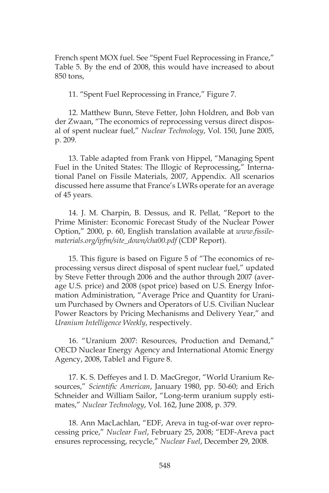French spent MOX fuel. See "Spent Fuel Reprocessing in France," Table 5. By the end of 2008, this would have increased to about 850 tons,

11. "Spent Fuel Reprocessing in France," Figure 7.

12. Matthew Bunn, Steve Fetter, John Holdren, and Bob van der Zwaan, "The economics of reprocessing versus direct disposal of spent nuclear fuel," *Nuclear Technology*, Vol. 150, June 2005, p. 209.

13. Table adapted from Frank von Hippel, "Managing Spent Fuel in the United States: The Illogic of Reprocessing," International Panel on Fissile Materials, 2007, Appendix. All scenarios discussed here assume that France's LWRs operate for an average of 45 years.

14. J. M. Charpin, B. Dessus, and R. Pellat, "Report to the Prime Minister: Economic Forecast Study of the Nuclear Power Option," 2000, p. 60, English translation available at *www.fissilematerials.org/ipfm/site\_down/cha00.pdf* (CDP Report).

15. This figure is based on Figure 5 of "The economics of reprocessing versus direct disposal of spent nuclear fuel," updated by Steve Fetter through 2006 and the author through 2007 (average U.S. price) and 2008 (spot price) based on U.S. Energy Information Administration, "Average Price and Quantity for Uranium Purchased by Owners and Operators of U.S. Civilian Nuclear Power Reactors by Pricing Mechanisms and Delivery Year," and *Uranium Intelligence Weekly*, respectively.

16. "Uranium 2007: Resources, Production and Demand," OECD Nuclear Energy Agency and International Atomic Energy Agency, 2008, Table1 and Figure 8.

17. K. S. Deffeyes and I. D. MacGregor, "World Uranium Resources," *Scientific American*, January 1980, pp. 50-60; and Erich Schneider and William Sailor, "Long-term uranium supply estimates," *Nuclear Technology*, Vol. 162, June 2008, p. 379.

18. Ann MacLachlan, "EDF, Areva in tug-of-war over reprocessing price," *Nuclear Fuel*, February 25, 2008; "EDF-Areva pact ensures reprocessing, recycle," *Nuclear Fuel*, December 29, 2008.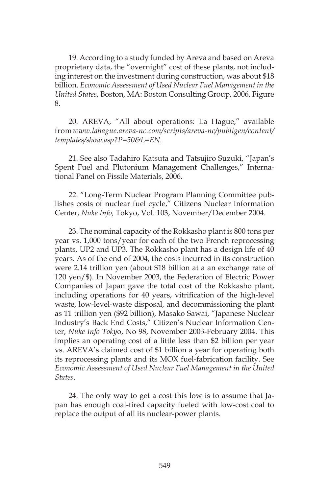19. According to a study funded by Areva and based on Areva proprietary data, the "overnight" cost of these plants, not including interest on the investment during construction, was about \$18 billion. *Economic Assessment of Used Nuclear Fuel Management in the United States*, Boston, MA: Boston Consulting Group, 2006, Figure 8.

20. AREVA, "All about operations: La Hague," available from *www.lahague.areva-nc.com/scripts/areva-nc/publigen/content/ templates/show.asp?P=50&L=EN*.

21. See also Tadahiro Katsuta and Tatsujiro Suzuki, "Japan's Spent Fuel and Plutonium Management Challenges," International Panel on Fissile Materials, 2006.

22. "Long-Term Nuclear Program Planning Committee publishes costs of nuclear fuel cycle," Citizens Nuclear Information Center, *Nuke Info,* Tokyo, Vol. 103, November/December 2004.

23. The nominal capacity of the Rokkasho plant is 800 tons per year vs. 1,000 tons/year for each of the two French reprocessing plants, UP2 and UP3. The Rokkasho plant has a design life of 40 years. As of the end of 2004, the costs incurred in its construction were 2.14 trillion yen (about \$18 billion at a an exchange rate of 120 yen/\$). In November 2003, the Federation of Electric Power Companies of Japan gave the total cost of the Rokkasho plant, including operations for 40 years, vitrification of the high-level waste, low-level-waste disposal, and decommissioning the plant as 11 trillion yen (\$92 billion), Masako Sawai, "Japanese Nuclear Industry's Back End Costs," Citizen's Nuclear Information Center, *Nuke Info Toky*o, No 98, November 2003-February 2004. This implies an operating cost of a little less than \$2 billion per year vs. AREVA's claimed cost of \$1 billion a year for operating both its reprocessing plants and its MOX fuel-fabrication facility. See *Economic Assessment of Used Nuclear Fuel Management in the United States*.

24. The only way to get a cost this low is to assume that Japan has enough coal-fired capacity fueled with low-cost coal to replace the output of all its nuclear-power plants.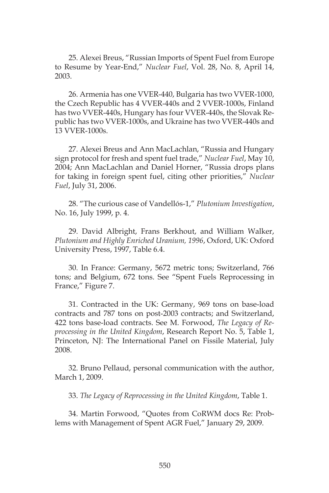25. Alexei Breus, "Russian Imports of Spent Fuel from Europe to Resume by Year-End," *Nuclear Fuel*, Vol. 28, No. 8, April 14, 2003.

26. Armenia has one VVER-440, Bulgaria has two VVER-1000, the Czech Republic has 4 VVER-440s and 2 VVER-1000s, Finland has two VVER-440s, Hungary has four VVER-440s, the Slovak Republic has two VVER-1000s, and Ukraine has two VVER-440s and 13 VVER-1000s.

27. Alexei Breus and Ann MacLachlan, "Russia and Hungary sign protocol for fresh and spent fuel trade," *Nuclear Fuel*, May 10, 2004; Ann MacLachlan and Daniel Horner, "Russia drops plans for taking in foreign spent fuel, citing other priorities," *Nuclear Fuel*, July 31, 2006.

28. "The curious case of Vandellós-1," *Plutonium Investigation*, No. 16, July 1999, p. 4.

29. David Albright, Frans Berkhout, and William Walker, *Plutonium and Highly Enriched Uranium, 1996*, Oxford, UK: Oxford University Press, 1997, Table 6.4.

30. In France: Germany, 5672 metric tons; Switzerland, 766 tons; and Belgium, 672 tons. See "Spent Fuels Reprocessing in France," Figure 7.

31. Contracted in the UK: Germany, 969 tons on base-load contracts and 787 tons on post-2003 contracts; and Switzerland, 422 tons base-load contracts. See M. Forwood, *The Legacy of Reprocessing in the United Kingdom*, Research Report No. 5, Table 1, Princeton, NJ: The International Panel on Fissile Material, July 2008.

32. Bruno Pellaud, personal communication with the author, March 1, 2009.

33. *The Legacy of Reprocessing in the United Kingdom*, Table 1.

34. Martin Forwood, "Quotes from CoRWM docs Re: Problems with Management of Spent AGR Fuel," January 29, 2009.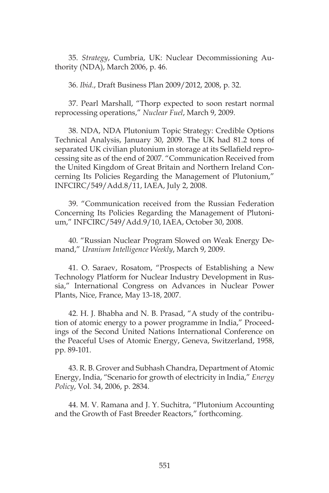35. *Strategy*, Cumbria, UK: Nuclear Decommissioning Authority (NDA), March 2006, p. 46.

36. *Ibid*., Draft Business Plan 2009/2012, 2008, p. 32.

37. Pearl Marshall, "Thorp expected to soon restart normal reprocessing operations," *Nuclear Fuel*, March 9, 2009.

38. NDA, NDA Plutonium Topic Strategy: Credible Options Technical Analysis, January 30, 2009. The UK had 81.2 tons of separated UK civilian plutonium in storage at its Sellafield reprocessing site as of the end of 2007. "Communication Received from the United Kingdom of Great Britain and Northern Ireland Concerning Its Policies Regarding the Management of Plutonium," INFCIRC/549/Add.8/11, IAEA, July 2, 2008.

39. "Communication received from the Russian Federation Concerning Its Policies Regarding the Management of Plutonium," INFCIRC/549/Add.9/10, IAEA, October 30, 2008.

40. "Russian Nuclear Program Slowed on Weak Energy Demand," *Uranium Intelligence Weekly*, March 9, 2009.

41. O. Saraev, Rosatom, "Prospects of Establishing a New Technology Platform for Nuclear Industry Development in Russia," International Congress on Advances in Nuclear Power Plants, Nice, France, May 13-18, 2007.

42. H. J. Bhabha and N. B. Prasad, "A study of the contribution of atomic energy to a power programme in India," Proceedings of the Second United Nations International Conference on the Peaceful Uses of Atomic Energy, Geneva, Switzerland, 1958, pp. 89-101.

43. R. B. Grover and Subhash Chandra, Department of Atomic Energy, India, "Scenario for growth of electricity in India," *Energy Policy*, Vol. 34, 2006, p. 2834.

44. M. V. Ramana and J. Y. Suchitra, "Plutonium Accounting and the Growth of Fast Breeder Reactors," forthcoming.